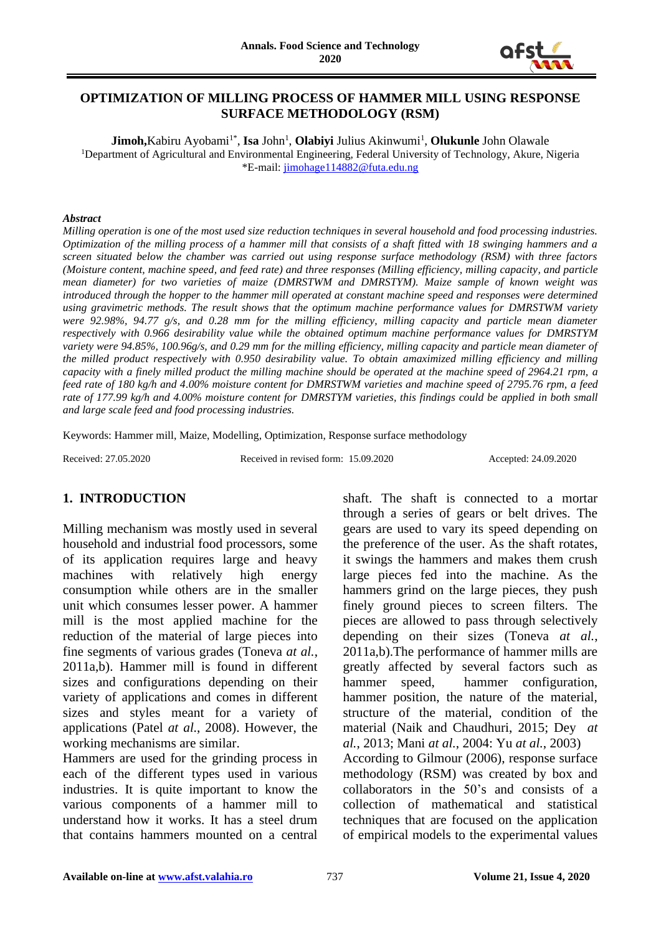

# **OPTIMIZATION OF MILLING PROCESS OF HAMMER MILL USING RESPONSE SURFACE METHODOLOGY (RSM)**

 $\mathbf{Jimoh,}$ Kabiru Ayobami<sup>1\*</sup>, **Isa** John<sup>1</sup>, **Olabiyi** Julius Akinwumi<sup>1</sup>, **Olukunle** John Olawale <sup>1</sup>Department of Agricultural and Environmental Engineering, Federal University of Technology, Akure, Nigeria \*E-mail[: jimohage114882@futa.edu.ng](mailto:jimohage114882@futa.edu.ng)

#### *Abstract*

*Milling operation is one of the most used size reduction techniques in several household and food processing industries. Optimization of the milling process of a hammer mill that consists of a shaft fitted with 18 swinging hammers and a screen situated below the chamber was carried out using response surface methodology (RSM) with three factors (Moisture content, machine speed, and feed rate) and three responses (Milling efficiency, milling capacity, and particle mean diameter) for two varieties of maize (DMRSTWM and DMRSTYM). Maize sample of known weight was introduced through the hopper to the hammer mill operated at constant machine speed and responses were determined using gravimetric methods. The result shows that the optimum machine performance values for DMRSTWM variety were 92.98%, 94.77 g/s, and 0.28 mm for the milling efficiency, milling capacity and particle mean diameter respectively with 0.966 desirability value while the obtained optimum machine performance values for DMRSTYM variety were 94.85%, 100.96g/s, and 0.29 mm for the milling efficiency, milling capacity and particle mean diameter of the milled product respectively with 0.950 desirability value. To obtain amaximized milling efficiency and milling capacity with a finely milled product the milling machine should be operated at the machine speed of 2964.21 rpm, a feed rate of 180 kg/h and 4.00% moisture content for DMRSTWM varieties and machine speed of 2795.76 rpm, a feed rate of 177.99 kg/h and 4.00% moisture content for DMRSTYM varieties, this findings could be applied in both small and large scale feed and food processing industries.*

Keywords: Hammer mill, Maize, Modelling, Optimization, Response surface methodology

Received: 27.05.2020 Received in revised form: 15.09.2020 Accepted: 24.09.2020

#### **1. INTRODUCTION**

Milling mechanism was mostly used in several household and industrial food processors, some of its application requires large and heavy machines with relatively high energy consumption while others are in the smaller unit which consumes lesser power. A hammer mill is the most applied machine for the reduction of the material of large pieces into fine segments of various grades (Toneva *at al.*, 2011a,b). Hammer mill is found in different sizes and configurations depending on their variety of applications and comes in different sizes and styles meant for a variety of applications (Patel *at al.*, 2008). However, the working mechanisms are similar.

Hammers are used for the grinding process in each of the different types used in various industries. It is quite important to know the various components of a hammer mill to understand how it works. It has a steel drum that contains hammers mounted on a central

shaft. The shaft is connected to a mortar through a series of gears or belt drives. The gears are used to vary its speed depending on the preference of the user. As the shaft rotates, it swings the hammers and makes them crush large pieces fed into the machine. As the hammers grind on the large pieces, they push finely ground pieces to screen filters. The pieces are allowed to pass through selectively depending on their sizes (Toneva *at al.*, 2011a,b).The performance of hammer mills are greatly affected by several factors such as hammer speed, hammer configuration, hammer position, the nature of the material, structure of the material, condition of the material (Naik and Chaudhuri, 2015; Dey *at al.*, 2013; Mani *at al.*, 2004: Yu *at al.*, 2003) According to Gilmour (2006), response surface methodology (RSM) was created by box and collaborators in the 50's and consists of a collection of mathematical and statistical techniques that are focused on the application of empirical models to the experimental values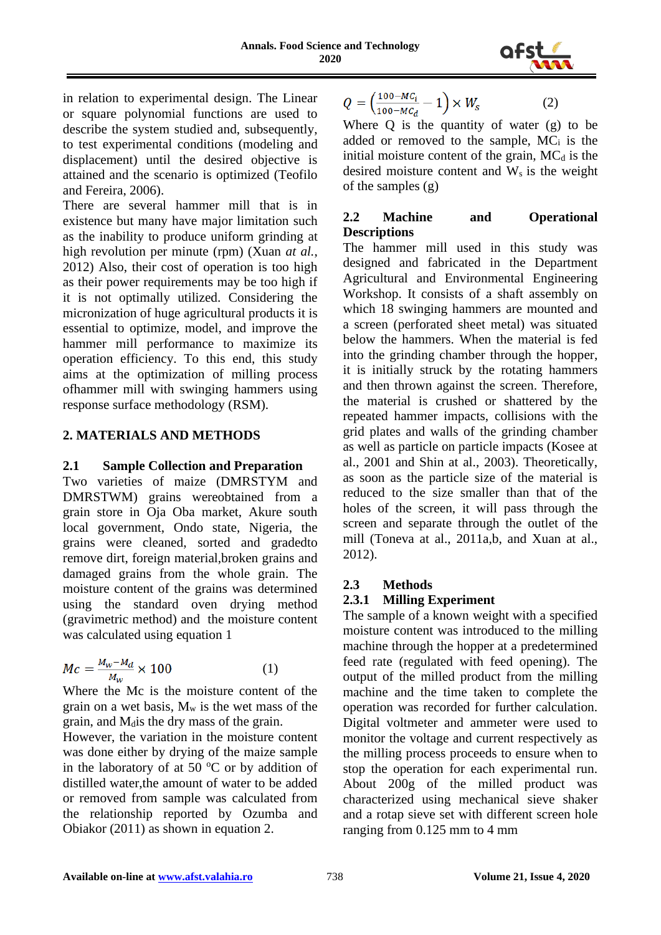

in relation to experimental design. The Linear or square polynomial functions are used to describe the system studied and, subsequently, to test experimental conditions (modeling and displacement) until the desired objective is attained and the scenario is optimized (Teofilo and Fereira, 2006).

There are several hammer mill that is in existence but many have major limitation such as the inability to produce uniform grinding at high revolution per minute (rpm) (Xuan *at al.*, 2012) Also, their cost of operation is too high as their power requirements may be too high if it is not optimally utilized. Considering the micronization of huge agricultural products it is essential to optimize, model, and improve the hammer mill performance to maximize its operation efficiency. To this end, this study aims at the optimization of milling process ofhammer mill with swinging hammers using response surface methodology (RSM).

# **2. MATERIALS AND METHODS**

# **2.1 Sample Collection and Preparation**

Two varieties of maize (DMRSTYM and DMRSTWM) grains wereobtained from a grain store in Oja Oba market, Akure south local government, Ondo state, Nigeria, the grains were cleaned, sorted and gradedto remove dirt, foreign material,broken grains and damaged grains from the whole grain. The moisture content of the grains was determined using the standard oven drying method (gravimetric method) and the moisture content was calculated using equation 1

$$
Mc = \frac{M_w - M_d}{M_w} \times 100
$$
 (1)

Where the Mc is the moisture content of the grain on a wet basis,  $M_w$  is the wet mass of the grain, and M<sub>d</sub> is the dry mass of the grain.

However, the variation in the moisture content was done either by drying of the maize sample in the laboratory of at 50  $\mathrm{^{\circ}C}$  or by addition of distilled water,the amount of water to be added or removed from sample was calculated from the relationship reported by Ozumba and Obiakor (2011) as shown in equation 2.

$$
Q = \left(\frac{100 - MC_i}{100 - MC_d} - 1\right) \times W_s \tag{2}
$$

Where  $Q$  is the quantity of water  $(g)$  to be added or removed to the sample, MC<sup>i</sup> is the initial moisture content of the grain,  $MC_d$  is the desired moisture content and  $W_s$  is the weight of the samples (g)

# **2.2 Machine and Operational Descriptions**

The hammer mill used in this study was designed and fabricated in the Department Agricultural and Environmental Engineering Workshop. It consists of a shaft assembly on which 18 swinging hammers are mounted and a screen (perforated sheet metal) was situated below the hammers. When the material is fed into the grinding chamber through the hopper, it is initially struck by the rotating hammers and then thrown against the screen. Therefore, the material is crushed or shattered by the repeated hammer impacts, collisions with the grid plates and walls of the grinding chamber as well as particle on particle impacts (Kosee at al., 2001 and Shin at al., 2003). Theoretically, as soon as the particle size of the material is reduced to the size smaller than that of the holes of the screen, it will pass through the screen and separate through the outlet of the mill (Toneva at al., 2011a,b, and Xuan at al., 2012).

# **2.3 Methods**

# **2.3.1 Milling Experiment**

The sample of a known weight with a specified moisture content was introduced to the milling machine through the hopper at a predetermined feed rate (regulated with feed opening). The output of the milled product from the milling machine and the time taken to complete the operation was recorded for further calculation. Digital voltmeter and ammeter were used to monitor the voltage and current respectively as the milling process proceeds to ensure when to stop the operation for each experimental run. About 200g of the milled product was characterized using mechanical sieve shaker and a rotap sieve set with different screen hole ranging from 0.125 mm to 4 mm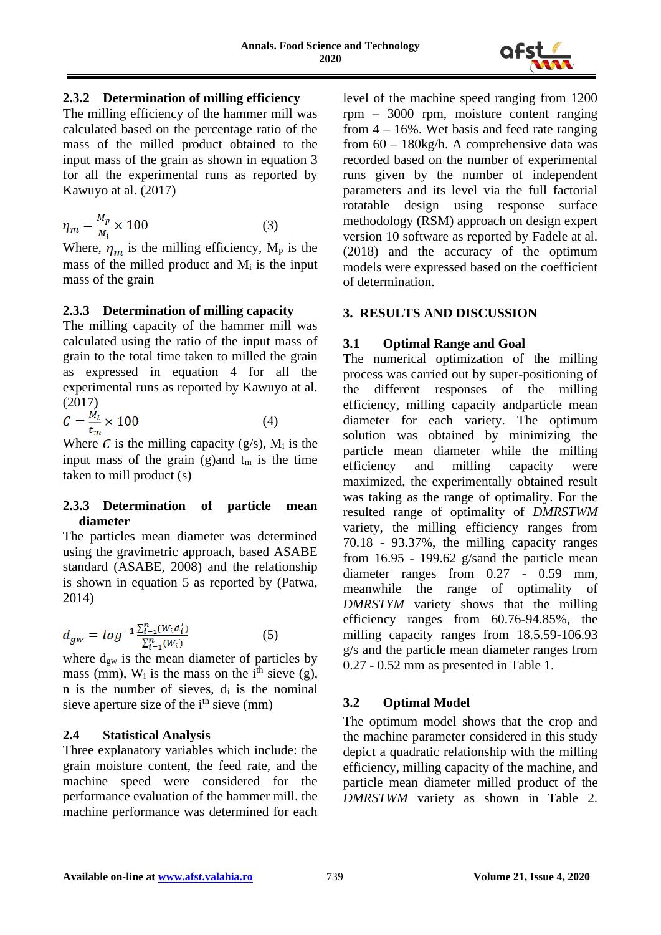

# **2.3.2 Determination of milling efficiency**

The milling efficiency of the hammer mill was calculated based on the percentage ratio of the mass of the milled product obtained to the input mass of the grain as shown in equation 3 for all the experimental runs as reported by Kawuyo at al. (2017)

$$
\eta_m = \frac{M_p}{M_i} \times 100\tag{3}
$$

Where,  $\eta_m$  is the milling efficiency, M<sub>p</sub> is the mass of the milled product and  $M_i$  is the input mass of the grain

#### **2.3.3 Determination of milling capacity**

The milling capacity of the hammer mill was calculated using the ratio of the input mass of grain to the total time taken to milled the grain as expressed in equation 4 for all the experimental runs as reported by Kawuyo at al. (2017)

$$
C = \frac{M_i}{t_m} \times 100\tag{4}
$$

Where C is the milling capacity (g/s),  $M_i$  is the input mass of the grain (g)and  $t_m$  is the time taken to mill product (s)

#### **2.3.3 Determination of particle mean diameter**

The particles mean diameter was determined using the gravimetric approach, based ASABE standard (ASABE, 2008) and the relationship is shown in equation 5 as reported by (Patwa, 2014)

$$
d_{gw} = \log^{-1} \frac{\sum_{i=1}^{n} (W_i d_i')}{\sum_{i=1}^{n} (W_i)} \tag{5}
$$

where  $d_{gw}$  is the mean diameter of particles by mass (mm),  $W_i$  is the mass on the i<sup>th</sup> sieve (g), n is the number of sieves,  $d_i$  is the nominal sieve aperture size of the  $i<sup>th</sup>$  sieve (mm)

#### **2.4 Statistical Analysis**

Three explanatory variables which include: the grain moisture content, the feed rate, and the machine speed were considered for the performance evaluation of the hammer mill. the machine performance was determined for each level of the machine speed ranging from 1200 rpm – 3000 rpm, moisture content ranging from  $4 - 16\%$ . Wet basis and feed rate ranging from 60 – 180kg/h. A comprehensive data was recorded based on the number of experimental runs given by the number of independent parameters and its level via the full factorial rotatable design using response surface methodology (RSM) approach on design expert version 10 software as reported by Fadele at al. (2018) and the accuracy of the optimum models were expressed based on the coefficient of determination.

### **3. RESULTS AND DISCUSSION**

### **3.1 Optimal Range and Goal**

The numerical optimization of the milling process was carried out by super-positioning of the different responses of the milling efficiency, milling capacity andparticle mean diameter for each variety. The optimum solution was obtained by minimizing the particle mean diameter while the milling efficiency and milling capacity were maximized, the experimentally obtained result was taking as the range of optimality. For the resulted range of optimality of *DMRSTWM* variety, the milling efficiency ranges from 70.18 - 93.37%, the milling capacity ranges from 16.95 - 199.62 g/sand the particle mean diameter ranges from 0.27 - 0.59 mm, meanwhile the range of optimality of *DMRSTYM* variety shows that the milling efficiency ranges from 60.76-94.85%, the milling capacity ranges from 18.5.59-106.93 g/s and the particle mean diameter ranges from 0.27 - 0.52 mm as presented in Table 1.

# **3.2 Optimal Model**

The optimum model shows that the crop and the machine parameter considered in this study depict a quadratic relationship with the milling efficiency, milling capacity of the machine, and particle mean diameter milled product of the *DMRSTWM* variety as shown in Table 2.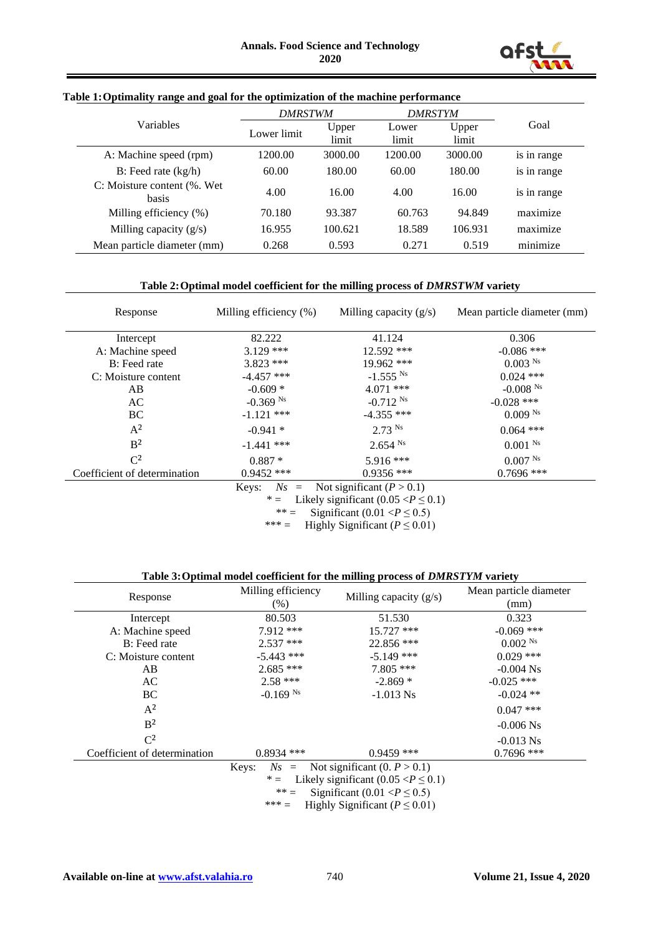

#### **Table 1:Optimality range and goal for the optimization of the machine performance**

|                                       | <b>DMRSTWM</b> |                | <b>DMRSTYM</b> |                |             |  |
|---------------------------------------|----------------|----------------|----------------|----------------|-------------|--|
| <b>Variables</b>                      | Lower limit    | Upper<br>limit | Lower<br>limit | Upper<br>limit | Goal        |  |
| A: Machine speed (rpm)                | 1200.00        | 3000.00        | 1200.00        | 3000.00        | is in range |  |
| B: Feed rate $(kg/h)$                 | 60.00          | 180.00         | 60.00          | 180.00         | is in range |  |
| C: Moisture content (%). Wet<br>basis | 4.00           | 16.00          | 4.00           | 16.00          | is in range |  |
| Milling efficiency (%)                | 70.180         | 93.387         | 60.763         | 94.849         | maximize    |  |
| Milling capacity $(g/s)$              | 16.955         | 100.621        | 18.589         | 106.931        | maximize    |  |
| Mean particle diameter (mm)           | 0.268          | 0.593          | 0.271          | 0.519          | minimize    |  |

#### **Table 2:Optimal model coefficient for the milling process of** *DMRSTWM* **variety**

| Response                                         | Milling efficiency (%) | Milling capacity $(g/s)$                | Mean particle diameter (mm) |  |  |  |  |
|--------------------------------------------------|------------------------|-----------------------------------------|-----------------------------|--|--|--|--|
| Intercept                                        | 82.222                 | 41.124                                  | 0.306                       |  |  |  |  |
| A: Machine speed                                 | $3.129$ ***            | 12.592 ***                              | $-0.086$ ***                |  |  |  |  |
| B: Feed rate                                     | $3.823$ ***            | 19.962 ***                              | $0.003$ <sup>Ns</sup>       |  |  |  |  |
| C: Moisture content                              | $-4.457$ ***           | $-1.555$ <sup>Ns</sup>                  | $0.024$ ***                 |  |  |  |  |
| AB                                               | $-0.609*$              | $4.071$ ***                             | $-0.008$ <sup>Ns</sup>      |  |  |  |  |
| AC                                               | $-0.369$ <sup>Ns</sup> | $-0.712$ <sup>Ns</sup>                  | $-0.028$ ***                |  |  |  |  |
| BC                                               | $-1.121$ ***           | $-4.355$ ***                            | $0.009$ <sup>Ns</sup>       |  |  |  |  |
| $A^2$                                            | $-0.941*$              | $2.73$ <sup>Ns</sup>                    | $0.064$ ***                 |  |  |  |  |
| B <sup>2</sup>                                   | $-1.441$ ***           | $2.654$ <sup>Ns</sup>                   | $0.001$ Ns                  |  |  |  |  |
| $\mathrm{C}^2$                                   | $0.887*$               | 5.916 ***                               | 0.007 <sup>Ns</sup>         |  |  |  |  |
| Coefficient of determination                     | $0.9452$ ***           | $0.9356$ ***                            | $0.7696$ ***                |  |  |  |  |
| Not significant $(P > 0.1)$<br>$Ns =$<br>Keys:   |                        |                                         |                             |  |  |  |  |
|                                                  | $* =$                  | Likely significant $(0.05 < P \le 0.1)$ |                             |  |  |  |  |
| Significant (0.01 $\angle P \le 0.5$ )<br>$** -$ |                        |                                         |                             |  |  |  |  |

Significant  $(0.01 < P \le 0.5)$ \*\*\* = Highly Significant  $(P \le 0.01)$ 

#### **Table 3:Optimal model coefficient for the milling process of** *DMRSTYM* **variety**

| $-0.069$ ***                                                                                                                                                                                                                                                                                            |  |  |  |  |  |  |  |
|---------------------------------------------------------------------------------------------------------------------------------------------------------------------------------------------------------------------------------------------------------------------------------------------------------|--|--|--|--|--|--|--|
| $0.002$ <sup>Ns</sup>                                                                                                                                                                                                                                                                                   |  |  |  |  |  |  |  |
| $0.029$ ***                                                                                                                                                                                                                                                                                             |  |  |  |  |  |  |  |
| $-0.004$ Ns                                                                                                                                                                                                                                                                                             |  |  |  |  |  |  |  |
|                                                                                                                                                                                                                                                                                                         |  |  |  |  |  |  |  |
| $-0.024$ **                                                                                                                                                                                                                                                                                             |  |  |  |  |  |  |  |
| $0.047$ ***                                                                                                                                                                                                                                                                                             |  |  |  |  |  |  |  |
| $-0.006$ Ns                                                                                                                                                                                                                                                                                             |  |  |  |  |  |  |  |
|                                                                                                                                                                                                                                                                                                         |  |  |  |  |  |  |  |
|                                                                                                                                                                                                                                                                                                         |  |  |  |  |  |  |  |
| Not significant $(0, P > 0.1)$<br>Keys:<br>$Ns =$                                                                                                                                                                                                                                                       |  |  |  |  |  |  |  |
| Likely significant $(0.05 < P \le 0.1)$<br>$* =$                                                                                                                                                                                                                                                        |  |  |  |  |  |  |  |
| $*** =$<br>Significant (0.01 $\langle P \leq 0.5 \rangle$ )                                                                                                                                                                                                                                             |  |  |  |  |  |  |  |
| $C^2$<br>$-0.013$ Ns<br>$0.9459$ ***<br>$0.7696$ ***<br>$0.8934$ ***<br>Coefficient of determination<br>ややや<br>$\mathbf{H}^{\prime}$ , 1.1 $\mathbf{C}^{\prime}$ , $\mathbf{C}^{\prime}$ , $\mathbf{C}^{\prime}$ , $\mathbf{C}^{\prime}$ , $\mathbf{D}$ , $\mathbf{A}^{\prime}$ , $\mathbf{A}^{\prime}$ |  |  |  |  |  |  |  |

\*\*\* = Highly Significant (*P* ≤ 0.01)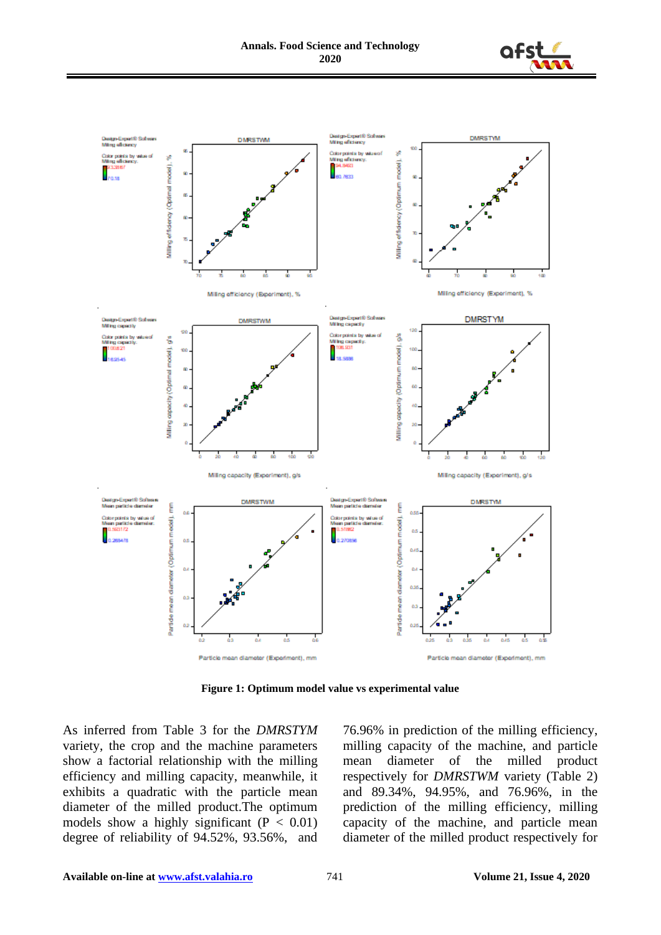



**Figure 1: Optimum model value vs experimental value**

As inferred from Table 3 for the *DMRSTYM* variety, the crop and the machine parameters show a factorial relationship with the milling efficiency and milling capacity, meanwhile, it exhibits a quadratic with the particle mean diameter of the milled product.The optimum models show a highly significant  $(P < 0.01)$ degree of reliability of 94.52%, 93.56%, and 76.96% in prediction of the milling efficiency, milling capacity of the machine, and particle mean diameter of the milled product respectively for *DMRSTWM* variety (Table 2) and 89.34%, 94.95%, and 76.96%, in the prediction of the milling efficiency, milling capacity of the machine, and particle mean diameter of the milled product respectively for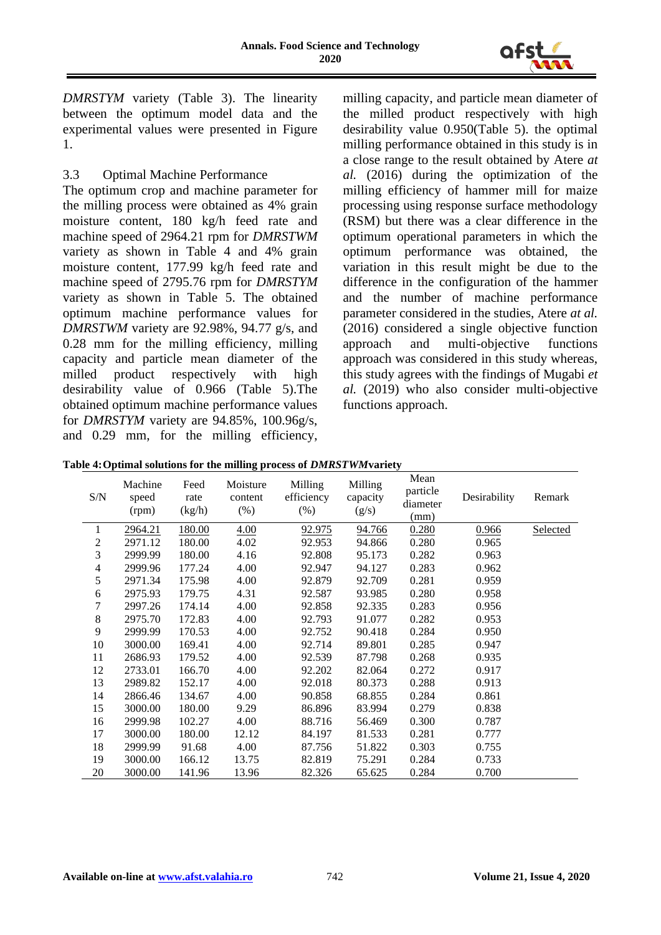

*DMRSTYM* variety (Table 3). The linearity between the optimum model data and the experimental values were presented in Figure 1.

# 3.3 Optimal Machine Performance

The optimum crop and machine parameter for the milling process were obtained as 4% grain moisture content, 180 kg/h feed rate and machine speed of 2964.21 rpm for *DMRSTWM* variety as shown in Table 4 and 4% grain moisture content, 177.99 kg/h feed rate and machine speed of 2795.76 rpm for *DMRSTYM* variety as shown in Table 5. The obtained optimum machine performance values for *DMRSTWM* variety are 92.98%, 94.77 g/s, and 0.28 mm for the milling efficiency, milling capacity and particle mean diameter of the milled product respectively with high desirability value of 0.966 (Table 5).The obtained optimum machine performance values for *DMRSTYM* variety are 94.85%, 100.96g/s, and 0.29 mm, for the milling efficiency,

milling capacity, and particle mean diameter of the milled product respectively with high desirability value 0.950(Table 5). the optimal milling performance obtained in this study is in a close range to the result obtained by Atere *at al.* (2016) during the optimization of the milling efficiency of hammer mill for maize processing using response surface methodology (RSM) but there was a clear difference in the optimum operational parameters in which the optimum performance was obtained, the variation in this result might be due to the difference in the configuration of the hammer and the number of machine performance parameter considered in the studies, Atere *at al.* (2016) considered a single objective function approach and multi-objective functions approach was considered in this study whereas, this study agrees with the findings of Mugabi *et al.* (2019) who also consider multi-objective functions approach.

| S/N                     | Machine<br>speed<br>(rpm) | Feed<br>rate<br>(kg/h) | Moisture<br>content<br>$(\% )$ | Milling<br>efficiency<br>$(\%)$ | Milling<br>capacity<br>(g/s) | Mean<br>particle<br>diameter<br>(mm) | Desirability | Remark          |
|-------------------------|---------------------------|------------------------|--------------------------------|---------------------------------|------------------------------|--------------------------------------|--------------|-----------------|
| 1                       | 2964.21                   | 180.00                 | 4.00                           | 92.975                          | 94.766                       | 0.280                                | 0.966        | <b>Selected</b> |
| $\overline{\mathbf{c}}$ | 2971.12                   | 180.00                 | 4.02                           | 92.953                          | 94.866                       | 0.280                                | 0.965        |                 |
| 3                       | 2999.99                   | 180.00                 | 4.16                           | 92.808                          | 95.173                       | 0.282                                | 0.963        |                 |
| 4                       | 2999.96                   | 177.24                 | 4.00                           | 92.947                          | 94.127                       | 0.283                                | 0.962        |                 |
| 5                       | 2971.34                   | 175.98                 | 4.00                           | 92.879                          | 92.709                       | 0.281                                | 0.959        |                 |
| 6                       | 2975.93                   | 179.75                 | 4.31                           | 92.587                          | 93.985                       | 0.280                                | 0.958        |                 |
| 7                       | 2997.26                   | 174.14                 | 4.00                           | 92.858                          | 92.335                       | 0.283                                | 0.956        |                 |
| $\,8\,$                 | 2975.70                   | 172.83                 | 4.00                           | 92.793                          | 91.077                       | 0.282                                | 0.953        |                 |
| 9                       | 2999.99                   | 170.53                 | 4.00                           | 92.752                          | 90.418                       | 0.284                                | 0.950        |                 |
| 10                      | 3000.00                   | 169.41                 | 4.00                           | 92.714                          | 89.801                       | 0.285                                | 0.947        |                 |
| 11                      | 2686.93                   | 179.52                 | 4.00                           | 92.539                          | 87.798                       | 0.268                                | 0.935        |                 |
| 12                      | 2733.01                   | 166.70                 | 4.00                           | 92.202                          | 82.064                       | 0.272                                | 0.917        |                 |
| 13                      | 2989.82                   | 152.17                 | 4.00                           | 92.018                          | 80.373                       | 0.288                                | 0.913        |                 |
| 14                      | 2866.46                   | 134.67                 | 4.00                           | 90.858                          | 68.855                       | 0.284                                | 0.861        |                 |
| 15                      | 3000.00                   | 180.00                 | 9.29                           | 86.896                          | 83.994                       | 0.279                                | 0.838        |                 |
| 16                      | 2999.98                   | 102.27                 | 4.00                           | 88.716                          | 56.469                       | 0.300                                | 0.787        |                 |
| 17                      | 3000.00                   | 180.00                 | 12.12                          | 84.197                          | 81.533                       | 0.281                                | 0.777        |                 |
| 18                      | 2999.99                   | 91.68                  | 4.00                           | 87.756                          | 51.822                       | 0.303                                | 0.755        |                 |
| 19                      | 3000.00                   | 166.12                 | 13.75                          | 82.819                          | 75.291                       | 0.284                                | 0.733        |                 |
| 20                      | 3000.00                   | 141.96                 | 13.96                          | 82.326                          | 65.625                       | 0.284                                | 0.700        |                 |

**Table 4:Optimal solutions for the milling process of** *DMRSTWM***variety**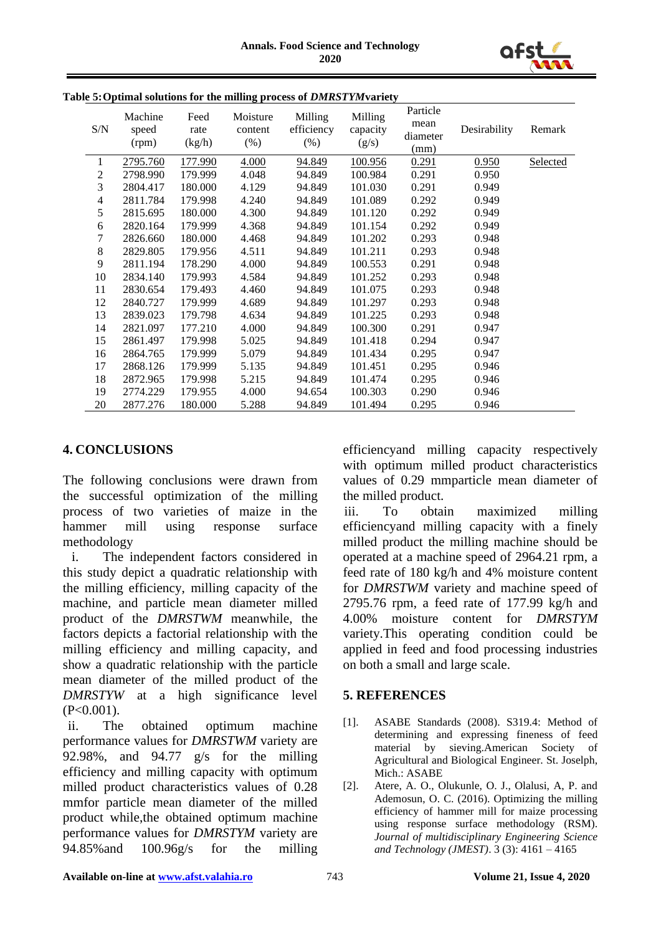

| ble 5:Opumal solutions for the milling process of <i>DMRST l'M</i> ivariety |                           |                        |                               |                               |                              |                                      |              |          |
|-----------------------------------------------------------------------------|---------------------------|------------------------|-------------------------------|-------------------------------|------------------------------|--------------------------------------|--------------|----------|
| S/N                                                                         | Machine<br>speed<br>(rpm) | Feed<br>rate<br>(kg/h) | Moisture<br>content<br>$(\%)$ | Milling<br>efficiency<br>(% ) | Milling<br>capacity<br>(g/s) | Particle<br>mean<br>diameter<br>(mm) | Desirability | Remark   |
| 1                                                                           | 2795.760                  | 177.990                | 4.000                         | 94.849                        | 100.956                      | 0.291                                | 0.950        | Selected |
| 2                                                                           | 2798.990                  | 179.999                | 4.048                         | 94.849                        | 100.984                      | 0.291                                | 0.950        |          |
| 3                                                                           | 2804.417                  | 180.000                | 4.129                         | 94.849                        | 101.030                      | 0.291                                | 0.949        |          |
| 4                                                                           | 2811.784                  | 179.998                | 4.240                         | 94.849                        | 101.089                      | 0.292                                | 0.949        |          |
| 5                                                                           | 2815.695                  | 180.000                | 4.300                         | 94.849                        | 101.120                      | 0.292                                | 0.949        |          |
| 6                                                                           | 2820.164                  | 179.999                | 4.368                         | 94.849                        | 101.154                      | 0.292                                | 0.949        |          |
| 7                                                                           | 2826.660                  | 180.000                | 4.468                         | 94.849                        | 101.202                      | 0.293                                | 0.948        |          |
| $8\,$                                                                       | 2829.805                  | 179.956                | 4.511                         | 94.849                        | 101.211                      | 0.293                                | 0.948        |          |
| 9                                                                           | 2811.194                  | 178.290                | 4.000                         | 94.849                        | 100.553                      | 0.291                                | 0.948        |          |
| 10                                                                          | 2834.140                  | 179.993                | 4.584                         | 94.849                        | 101.252                      | 0.293                                | 0.948        |          |
| 11                                                                          | 2830.654                  | 179.493                | 4.460                         | 94.849                        | 101.075                      | 0.293                                | 0.948        |          |
| 12                                                                          | 2840.727                  | 179.999                | 4.689                         | 94.849                        | 101.297                      | 0.293                                | 0.948        |          |
| 13                                                                          | 2839.023                  | 179.798                | 4.634                         | 94.849                        | 101.225                      | 0.293                                | 0.948        |          |
| 14                                                                          | 2821.097                  | 177.210                | 4.000                         | 94.849                        | 100.300                      | 0.291                                | 0.947        |          |
| 15                                                                          | 2861.497                  | 179.998                | 5.025                         | 94.849                        | 101.418                      | 0.294                                | 0.947        |          |
| 16                                                                          | 2864.765                  | 179.999                | 5.079                         | 94.849                        | 101.434                      | 0.295                                | 0.947        |          |
| 17                                                                          | 2868.126                  | 179.999                | 5.135                         | 94.849                        | 101.451                      | 0.295                                | 0.946        |          |
| 18                                                                          | 2872.965                  | 179.998                | 5.215                         | 94.849                        | 101.474                      | 0.295                                | 0.946        |          |
| 19                                                                          | 2774.229                  | 179.955                | 4.000                         | 94.654                        | 100.303                      | 0.290                                | 0.946        |          |
| 20                                                                          | 2877.276                  | 180.000                | 5.288                         | 94.849                        | 101.494                      | 0.295                                | 0.946        |          |

# **Table 5:Optimal solutions for the milling process of** *DMRSTYM***variety**

### **4. CONCLUSIONS**

The following conclusions were drawn from the successful optimization of the milling process of two varieties of maize in the hammer mill using response surface methodology

i. The independent factors considered in this study depict a quadratic relationship with the milling efficiency, milling capacity of the machine, and particle mean diameter milled product of the *DMRSTWM* meanwhile, the factors depicts a factorial relationship with the milling efficiency and milling capacity, and show a quadratic relationship with the particle mean diameter of the milled product of the *DMRSTYW* at a high significance level  $(P<0.001)$ .

ii. The obtained optimum machine performance values for *DMRSTWM* variety are 92.98%, and 94.77 g/s for the milling efficiency and milling capacity with optimum milled product characteristics values of 0.28 mmfor particle mean diameter of the milled product while,the obtained optimum machine performance values for *DMRSTYM* variety are 94.85%and 100.96g/s for the milling efficiencyand milling capacity respectively with optimum milled product characteristics values of 0.29 mmparticle mean diameter of the milled product.

iii. To obtain maximized milling efficiencyand milling capacity with a finely milled product the milling machine should be operated at a machine speed of 2964.21 rpm, a feed rate of 180 kg/h and 4% moisture content for *DMRSTWM* variety and machine speed of 2795.76 rpm, a feed rate of 177.99 kg/h and 4.00% moisture content for *DMRSTYM* variety.This operating condition could be applied in feed and food processing industries on both a small and large scale.

#### **5. REFERENCES**

- [1]. ASABE Standards (2008). S319.4: Method of determining and expressing fineness of feed material by sieving.American Society of Agricultural and Biological Engineer. St. Joselph, Mich.: ASABE
- [2]. Atere, A. O., Olukunle, O. J., Olalusi, A, P. and Ademosun, O. C. (2016). Optimizing the milling efficiency of hammer mill for maize processing using response surface methodology (RSM). *Journal of multidisciplinary Engineering Science and Technology (JMEST)*. 3 (3): 4161 – 4165